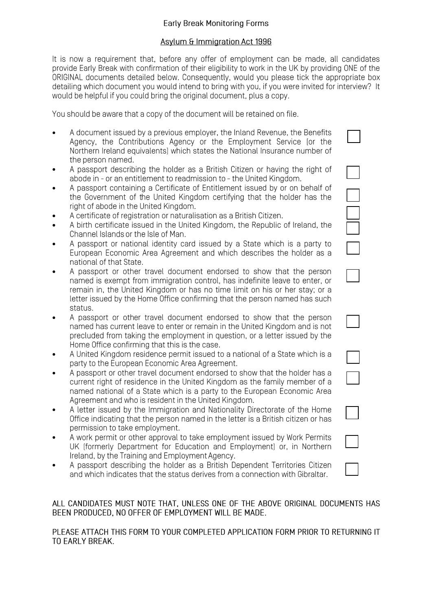# **Early Break Monitoring Forms**

## Asylum & Immigration Act 1996

It is now a requirement that, before any offer of employment can be made, all candidates provide Early Break with confirmation of their eligibility to work in the UK by providing ONE of the ORIGINAL documents detailed below. Consequently, would you please tick the appropriate box detailing which document you would intend to bring with you, if you were invited for interview? It would be helpful if you could bring the original document, plus a copy.

You should be aware that a copy of the document will be retained on file.

- A document issued by a previous employer, the Inland Revenue, the Benefits Agency, the Contributions Agency or the Employment Service (or the Northern Ireland equivalents] which states the National Insurance number of the person named.
- A passport describing the holder as a British Citizen or having the right of abode in - or an entitlement to readmission to - the United Kingdom.
- A passport containing a Certificate of Entitlement issued by or on behalf of the Government of the United Kingdom certifying that the holder has the right of abode in the United Kingdom.
- A certificate of registration or naturalisation as a British Citizen.
- A birth certificate issued in the United Kingdom, the Republic of Ireland, the Channel Islands or the Isle of Man.
- A passport or national identity card issued by a State which is a party to European Economic Area Agreement and which describes the holder as a national of that State.
- A passport or other travel document endorsed to show that the person named is exempt from immigration control, has indefinite leave to enter, or remain in, the United Kingdom or has no time limit on his or her stay; or a letter issued by the Home Office confirming that the person named has such status.
- A passport or other travel document endorsed to show that the person named has current leave to enter or remain in the United Kingdom and is not precluded from taking the employment in question, or a letter issued by the Home Office confirming that this is the case.
- A United Kingdom residence permit issued to a national of a State which is a party to the European Economic Area Agreement.
- A passport or other travel document endorsed to show that the holder has a current right of residence in the United Kingdom as the family member of a named national of a State which is a party to the European Economic Area Agreement and who is resident in the United Kingdom.
- A letter issued by the Immigration and Nationality Directorate of the Home Office indicating that the person named in the letter is a British citizen or has permission to take employment.
- A work permit or other approval to take employment issued by Work Permits UK (formerly Department for Education and Employment) or, in Northern Ireland, by the Training and Employment Agency.
- A passport describing the holder as a British Dependent Territories Citizen and which indicates that the status derives from a connection with Gibraltar.

ALL CANDIDATES MUST NOTE THAT, UNLESS ONE OF THE ABOVE ORIGINAL DOCUMENTS HAS BEEN PRODUCED. NO OFFER OF EMPLOYMENT WILL BE MADE.

PLEASE ATTACH THIS FORM TO YOUR COMPLETED APPLICATION FORM PRIOR TO RETURNING IT TO EARLY BREAK.

| $\overline{\phantom{0}}$ |  |
|--------------------------|--|
|                          |  |
| $\overline{\phantom{0}}$ |  |
|                          |  |
|                          |  |
| $\overline{\phantom{a}}$ |  |
|                          |  |
|                          |  |
|                          |  |
| $\mathbb{R}^n$           |  |
|                          |  |
|                          |  |
|                          |  |
| 1                        |  |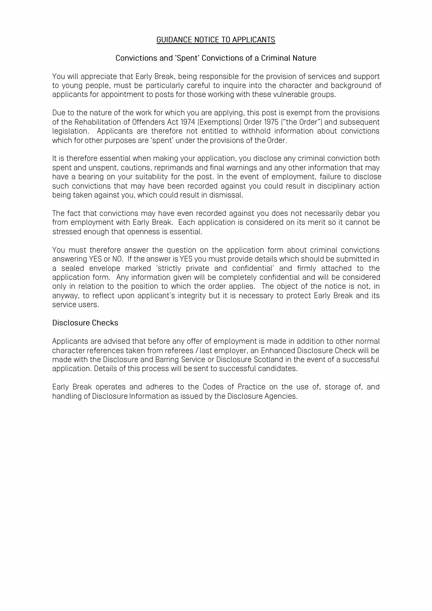### **GUIDANCE NOTICE TO APPLICANTS**

#### **Convictions and 'Spent' Convictions of a Criminal Nature**

You will appreciate that Early Break, being responsible for the provision of services and support to young people, must be particularly careful to inquire into the character and background of applicants for appointment to posts for those working with these vulnerable groups.

Due to the nature of the work for which you are applying, this post is exempt from the provisions of the Rehabilitation of Offenders Act 1974 [Exemptions] Order 1975 ["the Order"] and subsequent legislation. Applicants are therefore not entitled to withhold information about convictions which for other purposes are 'spent' under the provisions of the Order.

It is therefore essential when making your application, you disclose any criminal conviction both spent and unspent, cautions, reprimands and final warnings and any other information that may have a bearing on your suitability for the post. In the event of employment, failure to disclose such convictions that may have been recorded against you could result in disciplinary action being taken against you, which could result in dismissal.

The fact that convictions may have even recorded against you does not necessarily debar you from employment with Early Break. Each application is considered on its merit so it cannot be stressed enough that openness is essential.

You must therefore answer the question on the application form about criminal convictions answering YES or NO. If the answer is YES you must provide details which should be submitted in a sealed envelope marked 'strictly private and confidential' and firmly attached to the application form. Any information given will be completely confidential and will be considered only in relation to the position to which the order applies. The object of the notice is not, in anyway, to reflect upon applicant's integrity but it is necessary to protect Early Break and its service users.

#### **Disclosure Checks**

Applicants are advised that before any offer of employment is made in addition to other normal character references taken from referees/ last employer, an Enhanced Disclosure Check will be made with the Disclosure and Barring Service or Disclosure Scotland in the event of a successful application. Details of this process will be sent to successful candidates.

Early Break operates and adheres to the Codes of Practice on the use of, storage of, and handling of Disclosure Information as issued by the Disclosure Agencies.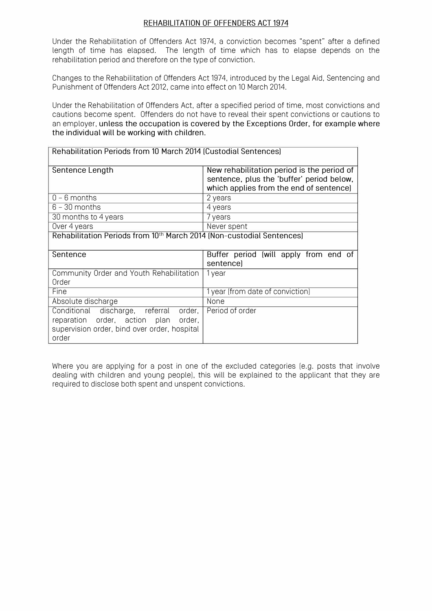### REHABILITATION OF OFFENDERS ACT 1974

Under the Rehabilitation of Offenders Act 1974, a conviction becomes "spent" after a defined length of time has elapsed. The length of time which has to elapse depends on the rehabilitation period and therefore on the type of conviction.

Changes to the Rehabilitation of Offenders Act 1974, introduced by the Legal Aid, Sentencing and Punishment of Offenders Act 2012, came into effect on 10 March 2014.

Under the Rehabilitation of Offenders Act. after a specified period of time, most convictions and cautions become spent. Offenders do not have to reveal their spent convictions or cautions to an employer, unless the occupation is covered by the Exceptions Order, for example where the individual will be working with children.

| Rehabilitation Periods from 10 March 2014 [Custodial Sentences]                   |                                                                                      |  |  |  |  |  |
|-----------------------------------------------------------------------------------|--------------------------------------------------------------------------------------|--|--|--|--|--|
| Sentence Length                                                                   | New rehabilitation period is the period of                                           |  |  |  |  |  |
|                                                                                   | sentence, plus the 'buffer' period below,<br>which applies from the end of sentence] |  |  |  |  |  |
| $0 - 6$ months                                                                    | 2 years                                                                              |  |  |  |  |  |
| $6 - 30$ months                                                                   | 4 years                                                                              |  |  |  |  |  |
| 30 months to 4 years                                                              | 7 years                                                                              |  |  |  |  |  |
| Over 4 years                                                                      | Never spent                                                                          |  |  |  |  |  |
| Rehabilitation Periods from 10 <sup>th</sup> March 2014 (Non-custodial Sentences) |                                                                                      |  |  |  |  |  |
| Sentence                                                                          |                                                                                      |  |  |  |  |  |
|                                                                                   | Buffer period (will apply from end of                                                |  |  |  |  |  |
|                                                                                   | sentencel                                                                            |  |  |  |  |  |
| Community Order and Youth Rehabilitation                                          | 1 year                                                                               |  |  |  |  |  |
| Order                                                                             |                                                                                      |  |  |  |  |  |
| Fine                                                                              | 1 year [from date of conviction]                                                     |  |  |  |  |  |
| Absolute discharge                                                                | None                                                                                 |  |  |  |  |  |
| Conditional discharge, referral order,                                            | Period of order                                                                      |  |  |  |  |  |
| reparation order, action plan order,                                              |                                                                                      |  |  |  |  |  |
| supervision order, bind over order, hospital<br>order                             |                                                                                      |  |  |  |  |  |

Where you are applying for a post in one of the excluded categories [e.g. posts that involve dealing with children and young people]. this will be explained to the applicant that they are required to disclose both spent and unspent convictions.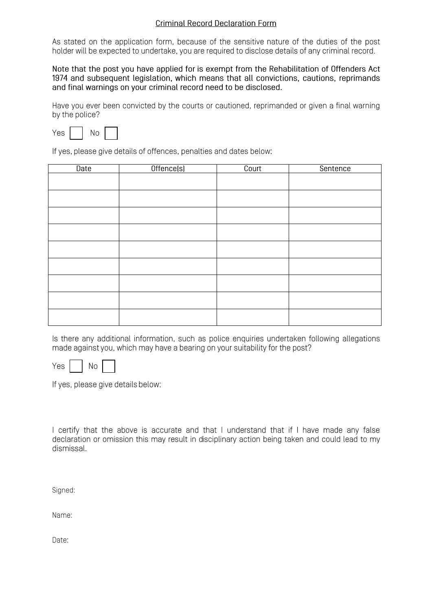# **Criminal Record Declaration Form**

As stated on the application form, because of the sensitive nature of the duties of the post holder will be expected to undertake, you are required to disclose details of any criminal record.

Note that the post you have applied for is exempt from the Rehabilitation of Offenders Act 1974 and subsequent legislation, which means that all convictions, cautions, reprimands and final warnings on your criminal record need to be disclosed.

Have you ever been convicted by the courts or cautioned, reprimanded or given a final warning by the police?

Yes **No** 

If yes, please give details of offences, penalties and dates below:

| Date | Offence(s) | Court | Sentence |
|------|------------|-------|----------|
|      |            |       |          |
|      |            |       |          |
|      |            |       |          |
|      |            |       |          |
|      |            |       |          |
|      |            |       |          |
|      |            |       |          |
|      |            |       |          |
|      |            |       |          |

Is there any additional information, such as police enquiries undertaken following allegations made against you, which may have a bearing on your suitability for the post?

Yes **No** 

If yes, please give details below:

| I certify that the above is accurate and that I understand that if I have made any false        |  |  |  |  |  |  |  |  |  |
|-------------------------------------------------------------------------------------------------|--|--|--|--|--|--|--|--|--|
| declaration or omission this may result in disciplinary action being taken and could lead to my |  |  |  |  |  |  |  |  |  |
| dismissal.                                                                                      |  |  |  |  |  |  |  |  |  |

Signed:

Name:

Date: